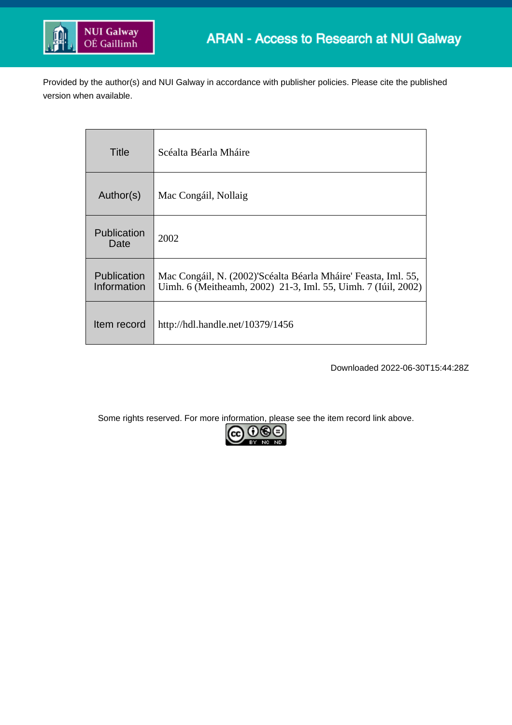

Provided by the author(s) and NUI Galway in accordance with publisher policies. Please cite the published version when available.

| Title                      | Scéalta Béarla Mháire                                                                                                           |
|----------------------------|---------------------------------------------------------------------------------------------------------------------------------|
| Author(s)                  | Mac Congáil, Nollaig                                                                                                            |
| <b>Publication</b><br>Date | 2002                                                                                                                            |
| Publication<br>Information | Mac Congáil, N. (2002)'Scéalta Béarla Mháire' Feasta, Iml. 55,<br>Uimh. 6 (Meitheamh, 2002) 21-3, Iml. 55, Uimh. 7 (Iúil, 2002) |
| Item record                | http://hdl.handle.net/10379/1456                                                                                                |

Downloaded 2022-06-30T15:44:28Z

Some rights reserved. For more information, please see the item record link above.

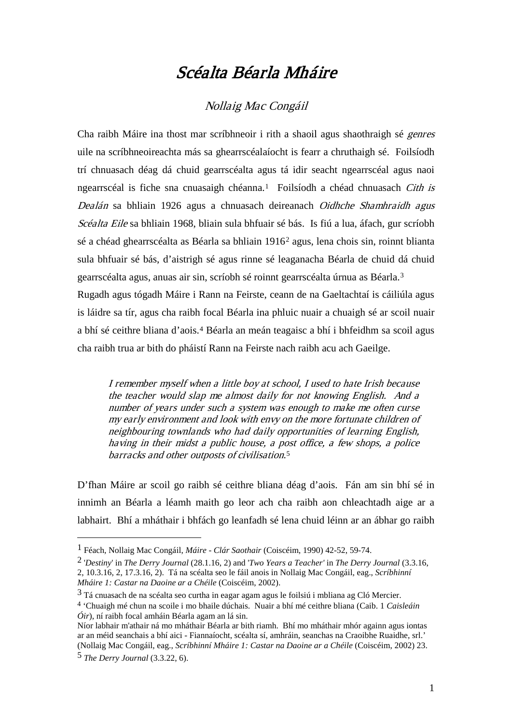## Scéalta Béarla Mháire

## Nollaig Mac Congáil

Cha raibh Máire ina thost mar scríbhneoir i rith a shaoil agus shaothraigh sé genres uile na scríbhneoireachta más sa ghearrscéalaíocht is fearr a chruthaigh sé. Foilsíodh trí chnuasach déag dá chuid gearrscéalta agus tá idir seacht ngearrscéal agus naoi ngearrscéal is fiche sna cnuasaigh chéanna.<sup>1</sup> Foilsíodh a chéad chnuasach Cith is Dealán sa bhliain 1926 agus a chnuasach deireanach Oidhche Shamhraidh agus Scéalta Eile sa bhliain 1968, bliain sula bhfuair sé bás. Is fiú a lua, áfach, gur scríobh sé a chéad ghearrscéalta as Béarla sa bhliain 1916[2](#page-1-1) agus, lena chois sin, roinnt blianta sula bhfuair sé bás, d'aistrigh sé agus rinne sé leaganacha Béarla de chuid dá chuid gearrscéalta agus, anuas air sin, scríobh sé roinnt gearrscéalta úrnua as Béarla.[3](#page-1-2)

Rugadh agus tógadh Máire i Rann na Feirste, ceann de na Gaeltachtaí is cáiliúla agus is láidre sa tír, agus cha raibh focal Béarla ina phluic nuair a chuaigh sé ar scoil nuair a bhí sé ceithre bliana d'aois.[4](#page-1-3) Béarla an meán teagaisc a bhí i bhfeidhm sa scoil agus cha raibh trua ar bith do pháistí Rann na Feirste nach raibh acu ach Gaeilge.

I remember myself when a little boy at school, I used to hate Irish because the teacher would slap me almost daily for not knowing English. And a number of years under such a system was enough to make me often curse my early environment and look with envy on the more fortunate children of neighbouring townlands who had daily opportunities of learning English, having in their midst a public house, a post office, a few shops, a police barracks and other outposts of civilisation. [5](#page-1-4)

D'fhan Máire ar scoil go raibh sé ceithre bliana déag d'aois. Fán am sin bhí sé in innimh an Béarla a léamh maith go leor ach cha raibh aon chleachtadh aige ar a labhairt. Bhí a mháthair i bhfách go leanfadh sé lena chuid léinn ar an ábhar go raibh

<u>.</u>

<span id="page-1-0"></span><sup>1</sup> Féach, Nollaig Mac Congáil, *Máire - Clár Saothair* (Coiscéim, 1990) 42-52, 59-74.

<span id="page-1-1"></span><sup>2</sup> '*Destiny*' in *The Derry Journal* (28.1.16, 2) and '*Two Years a Teacher'* in *The Derry Journal* (3.3.16, 2, 10.3.16, 2, 17.3.16, 2). Tá na scéalta seo le fáil anois in Nollaig Mac Congáil, eag., *Scríbhinní Mháire 1: Castar na Daoine ar a Chéile* (Coiscéim, 2002).

<span id="page-1-2"></span><sup>3</sup> Tá cnuasach de na scéalta seo curtha in eagar agam agus le foilsiú i mbliana ag Cló Mercier.

<span id="page-1-3"></span><sup>4</sup> 'Chuaigh mé chun na scoile i mo bhaile dúchais. Nuair a bhí mé ceithre bliana (Caib. 1 *Caisleáin Óir*), ní raibh focal amháin Béarla agam an lá sin.

Níor labhair m'athair ná mo mháthair Béarla ar bith riamh. Bhí mo mháthair mhór againn agus iontas ar an méid seanchais a bhí aici - Fiannaíocht, scéalta sí, amhráin, seanchas na Craoibhe Ruaidhe, srl.' (Nollaig Mac Congáil, eag., *Scríbhinní Mháire 1: Castar na Daoine ar a Chéile* (Coiscéim, 2002) 23.

<span id="page-1-4"></span><sup>5</sup> *The Derry Journal* (3.3.22, 6).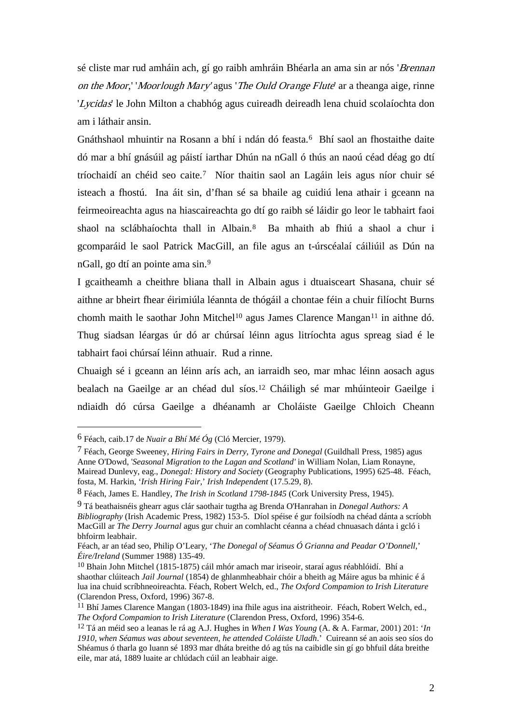sé cliste mar rud amháin ach, gí go raibh amhráin Bhéarla an ama sin ar nós 'Brennan on the Moor,' 'Moorlough Mary' agus 'The Ould Orange Flute' ar a theanga aige, rinne 'Lycidas' le John Milton a chabhóg agus cuireadh deireadh lena chuid scolaíochta don am i láthair ansin.

Gnáthshaol mhuintir na Rosann a bhí i ndán dó feasta.<sup>[6](#page-2-0)</sup> Bhí saol an fhostaithe daite dó mar a bhí gnásúil ag páistí iarthar Dhún na nGall ó thús an naoú céad déag go dtí tríochaidí an chéid seo caite.[7](#page-2-1) Níor thaitin saol an Lagáin leis agus níor chuir sé isteach a fhostú. Ina áit sin, d'fhan sé sa bhaile ag cuidiú lena athair i gceann na feirmeoireachta agus na hiascaireachta go dtí go raibh sé láidir go leor le tabhairt faoi shaol na sclábhaíochta thall in Albain.[8](#page-2-2) Ba mhaith ab fhiú a shaol a chur i gcomparáid le saol Patrick MacGill, an file agus an t-úrscéalaí cáiliúil as Dún na nGall, go dtí an pointe ama sin.[9](#page-2-3)

I gcaitheamh a cheithre bliana thall in Albain agus i dtuaisceart Shasana, chuir sé aithne ar bheirt fhear éirimiúla léannta de thógáil a chontae féin a chuir filíocht Burns chomh maith le saothar John Mitchel<sup>[10](#page-2-4)</sup> agus James Clarence Mangan<sup>[11](#page-2-5)</sup> in aithne dó. Thug siadsan léargas úr dó ar chúrsaí léinn agus litríochta agus spreag siad é le tabhairt faoi chúrsaí léinn athuair. Rud a rinne.

Chuaigh sé i gceann an léinn arís ach, an iarraidh seo, mar mhac léinn aosach agus bealach na Gaeilge ar an chéad dul síos. [12](#page-2-6) Cháiligh sé mar mhúinteoir Gaeilge i ndiaidh dó cúrsa Gaeilge a dhéanamh ar Choláiste Gaeilge Chloich Cheann

-

<span id="page-2-0"></span><sup>6</sup> Féach, caib.17 de *Nuair a Bhí Mé Óg* (Cló Mercier, 1979).

<span id="page-2-1"></span><sup>7</sup> Féach, George Sweeney, *Hiring Fairs in Derry, Tyrone and Donegal* (Guildhall Press, 1985) agus Anne O'Dowd, '*Seasonal Migration to the Lagan and Scotland'* in William Nolan, Liam Ronayne, Mairead Dunlevy, eag., *Donegal: History and Society* (Geography Publications, 1995) 625-48. Féach, fosta, M. Harkin, '*Irish Hiring Fair*,' *Irish Independent* (17.5.29, 8).

<span id="page-2-2"></span><sup>8</sup> Féach, James E. Handley, *The Irish in Scotland 1798-1845* (Cork University Press, 1945).

<span id="page-2-3"></span><sup>9</sup> Tá beathaisnéis ghearr agus clár saothair tugtha ag Brenda O'Hanrahan in *Donegal Authors: A Bibliography* (Irish Academic Press, 1982) 153-5. Díol spéise é gur foilsíodh na chéad dánta a scríobh MacGill ar *The Derry Journal* agus gur chuir an comhlacht céanna a chéad chnuasach dánta i gcló i bhfoirm leabhair.

Féach, ar an téad seo, Philip O'Leary, '*The Donegal of Séamus Ó Grianna and Peadar O'Donnell*,' *Éire/Ireland* (Summer 1988) 135-49.

<span id="page-2-4"></span><sup>10</sup> Bhain John Mitchel (1815-1875) cáil mhór amach mar iriseoir, staraí agus réabhlóidí. Bhí a shaothar clúiteach *Jail Journal* (1854) de ghlanmheabhair chóir a bheith ag Máire agus ba mhinic é á lua ina chuid scríbhneoireachta. Féach, Robert Welch, ed., *The Oxford Compamion to Irish Literature* (Clarendon Press, Oxford, 1996) 367-8.

<span id="page-2-5"></span><sup>&</sup>lt;sup>11</sup> Bhí James Clarence Mangan (1803-1849) ina fhile agus ina aistritheoir. Féach, Robert Welch, ed., *The Oxford Compamion to Irish Literature* (Clarendon Press, Oxford, 1996) 354-6.

<span id="page-2-6"></span><sup>12</sup> Tá an méid seo a leanas le rá ag A.J. Hughes in *When I Was Young* (A. & A. Farmar, 2001) 201: '*In 1910, when Séamus was about seventeen, he attended Coláiste Uladh*.' Cuireann sé an aois seo síos do Shéamus ó tharla go luann sé 1893 mar dháta breithe dó ag tús na caibidle sin gí go bhfuil dáta breithe eile, mar atá, 1889 luaite ar chlúdach cúil an leabhair aige.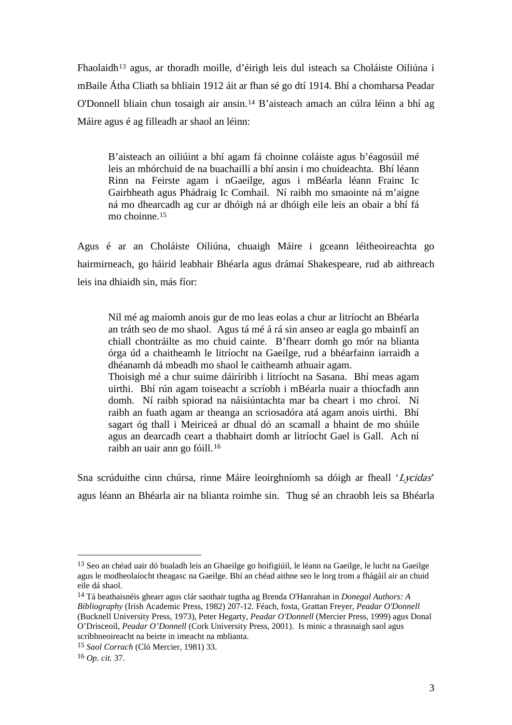Fhaolaidh[13](#page-3-0) agus, ar thoradh moille, d'éirigh leis dul isteach sa Choláiste Oiliúna i mBaile Átha Cliath sa bhliain 1912 áit ar fhan sé go dtí 1914. Bhí a chomharsa Peadar O'Donnell bliain chun tosaigh air ansin.[14](#page-3-1) B'aisteach amach an cúlra léinn a bhí ag Máire agus é ag filleadh ar shaol an léinn:

B'aisteach an oiliúint a bhí agam fá choinne coláiste agus b'éagosúil mé leis an mhórchuid de na buachaillí a bhí ansin i mo chuideachta. Bhí léann Rinn na Feirste agam i nGaeilge, agus i mBéarla léann Frainc Ic Gairbheath agus Phádraig Ic Comhail. Ní raibh mo smaointe ná m'aigne ná mo dhearcadh ag cur ar dhóigh ná ar dhóigh eile leis an obair a bhí fá mo choinne. [15](#page-3-2)

Agus é ar an Choláiste Oiliúna, chuaigh Máire i gceann léitheoireachta go hairmirneach, go háirid leabhair Bhéarla agus drámaí Shakespeare, rud ab aithreach leis ina dhiaidh sin, más fíor:

Níl mé ag maíomh anois gur de mo leas eolas a chur ar litríocht an Bhéarla an tráth seo de mo shaol. Agus tá mé á rá sin anseo ar eagla go mbainfí an chiall chontráilte as mo chuid cainte. B'fhearr domh go mór na blianta órga úd a chaitheamh le litríocht na Gaeilge, rud a bhéarfainn iarraidh a dhéanamh dá mbeadh mo shaol le caitheamh athuair agam.

Thoisigh mé a chur suime dáiríribh i litríocht na Sasana. Bhí meas agam uirthi. Bhí rún agam toiseacht a scríobh i mBéarla nuair a thiocfadh ann domh. Ní raibh spiorad na náisiúntachta mar ba cheart i mo chroí. Ní raibh an fuath agam ar theanga an scriosadóra atá agam anois uirthi. Bhí sagart óg thall i Meiriceá ar dhual dó an scamall a bhaint de mo shúile agus an dearcadh ceart a thabhairt domh ar litríocht Gael is Gall. Ach ní raibh an uair ann go fóill. [16](#page-3-3)

Sna scrúduithe cinn chúrsa, rinne Máire leoirghníomh sa dóigh ar fheall 'Lycidas' agus léann an Bhéarla air na blianta roimhe sin. Thug sé an chraobh leis sa Bhéarla

<span id="page-3-0"></span> <sup>13</sup> Seo an chéad uair dó bualadh leis an Ghaeilge go hoifigiúil, le léann na Gaeilge, le lucht na Gaeilge agus le modheolaíocht theagasc na Gaeilge. Bhí an chéad aithne seo le lorg trom a fhágáil air an chuid eile dá shaol.

<span id="page-3-1"></span><sup>14</sup> Tá beathaisnéis ghearr agus clár saothair tugtha ag Brenda O'Hanrahan in *Donegal Authors: A Bibliography* (Irish Academic Press, 1982) 207-12. Féach, fosta, Grattan Freyer, *Peadar O'Donnell*  (Bucknell University Press, 1973), Peter Hegarty, *Peadar O'Donnell* (Mercier Press, 1999) agus Donal O'Drisceoil, *Peadar O'Donnell* (Cork University Press, 2001). Is minic a thrasnaigh saol agus scríbhneoireacht na beirte in imeacht na mblianta.

<span id="page-3-2"></span><sup>15</sup> *Saol Corrach* (Cló Mercier, 1981) 33.

<span id="page-3-3"></span><sup>16</sup> *Op. cit.* 37.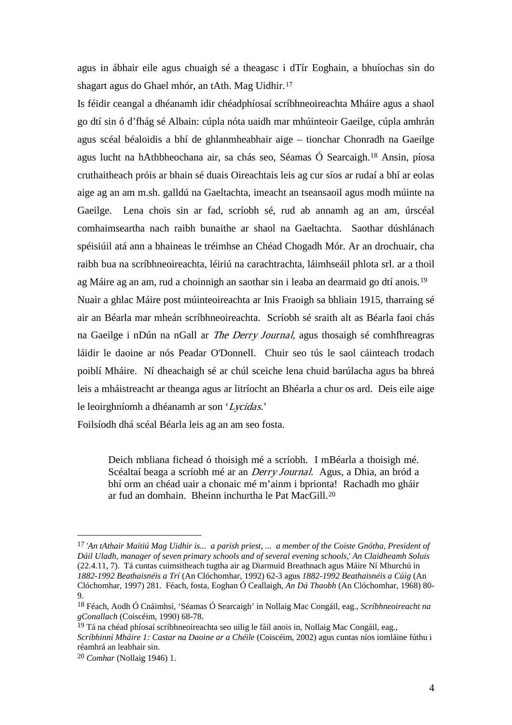agus in ábhair eile agus chuaigh sé a theagasc i dTír Eoghain, a bhuíochas sin do shagart agus do Ghael mhór, an tAth. Mag Uidhir.[17](#page-4-0)

Is féidir ceangal a dhéanamh idir chéadphíosaí scríbhneoireachta Mháire agus a shaol go dtí sin ó d'fhág sé Albain: cúpla nóta uaidh mar mhúinteoir Gaeilge, cúpla amhrán agus scéal béaloidis a bhí de ghlanmheabhair aige – tionchar Chonradh na Gaeilge agus lucht na hAthbheochana air, sa chás seo, Séamas Ó Searcaigh.[18](#page-4-1) Ansin, píosa cruthaitheach próis ar bhain sé duais Oireachtais leis ag cur síos ar rudaí a bhí ar eolas aige ag an am m.sh. galldú na Gaeltachta, imeacht an tseansaoil agus modh múinte na Gaeilge. Lena chois sin ar fad, scríobh sé, rud ab annamh ag an am, úrscéal comhaimseartha nach raibh bunaithe ar shaol na Gaeltachta. Saothar dúshlánach spéisiúil atá ann a bhaineas le tréimhse an Chéad Chogadh Mór. Ar an drochuair, cha raibh bua na scríbhneoireachta, léiriú na carachtrachta, láimhseáil phlota srl. ar a thoil ag Máire ag an am, rud a choinnigh an saothar sin i leaba an dearmaid go dtí anois.[19](#page-4-2) Nuair a ghlac Máire post múinteoireachta ar Inis Fraoigh sa bhliain 1915, tharraing sé air an Béarla mar mheán scríbhneoireachta. Scríobh sé sraith alt as Béarla faoi chás na Gaeilge i nDún na nGall ar The Derry Journal, agus thosaigh sé comhfhreagras láidir le daoine ar nós Peadar O'Donnell. Chuir seo tús le saol cáinteach trodach poiblí Mháire. Ní dheachaigh sé ar chúl sceiche lena chuid barúlacha agus ba bhreá leis a mháistreacht ar theanga agus ar litríocht an Bhéarla a chur os ard. Deis eile aige le leoirghníomh a dhéanamh ar son 'Lycidas.'

Foilsíodh dhá scéal Béarla leis ag an am seo fosta.

Deich mbliana fichead ó thoisigh mé a scríobh. I mBéarla a thoisigh mé. Scéaltaí beaga a scríobh mé ar an Derry Journal. Agus, a Dhia, an bród a bhí orm an chéad uair a chonaic mé m'ainm i bprionta! Rachadh mo gháir ar fud an domhain. Bheinn inchurtha le Pat MacGill. [20](#page-4-3)

<span id="page-4-0"></span> <sup>17</sup> '*An tAthair Maitiú Mag Uidhir is... a parish priest, ... a member of the Coiste Gnótha, President of Dáil Uladh, manager of seven primary schools and of several evening schools,*' *An Claidheamh Soluis* (22.4.11, 7). Tá cuntas cuimsitheach tugtha air ag Diarmuid Breathnach agus Máire Ní Mhurchú in *1882-1992 Beathaisnéis a Trí* (An Clóchomhar, 1992) 62-3 agus *1882-1992 Beathaisnéis a Cúig* (An Clóchomhar, 1997) 281. Féach, fosta, Eoghan Ó Ceallaigh, *An Dá Thaobh* (An Clóchomhar, 1968) 80- 9.

<span id="page-4-1"></span><sup>18</sup> Féach, Aodh Ó Cnáimhsí, 'Séamas Ó Searcaigh' in Nollaig Mac Congáil, eag., *Scríbhneoireacht na gConallach* (Coiscéim, 1990) 68-78.

<span id="page-4-2"></span> $19$  Tá na chéad phíosaí scríbhneoireachta seo uilig le fáil anois in, Nollaig Mac Congáil, eag., *Scríbhinní Mháire 1: Castar na Daoine ar a Chéile* (Coiscéim, 2002) agus cuntas níos iomláine fúthu i réamhrá an leabhair sin.

<span id="page-4-3"></span><sup>20</sup> *Comhar* (Nollaig 1946) 1.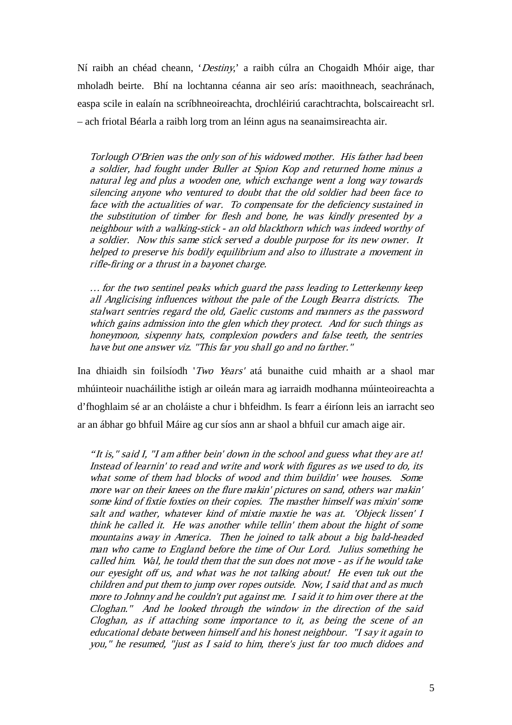Ní raibh an chéad cheann, 'Destiny,' a raibh cúlra an Chogaidh Mhóir aige, thar mholadh beirte. Bhí na lochtanna céanna air seo arís: maoithneach, seachránach, easpa scile in ealaín na scríbhneoireachta, drochléiriú carachtrachta, bolscaireacht srl. – ach friotal Béarla a raibh lorg trom an léinn agus na seanaimsireachta air.

Torlough O'Brien was the only son of his widowed mother. His father had been a soldier, had fought under Buller at Spion Kop and returned home minus a natural leg and plus a wooden one, which exchange went a long way towards silencing anyone who ventured to doubt that the old soldier had been face to face with the actualities of war. To compensate for the deficiency sustained in the substitution of timber for flesh and bone, he was kindly presented by a neighbour with a walking-stick - an old blackthorn which was indeed worthy of a soldier. Now this same stick served a double purpose for its new owner. It helped to preserve his bodily equilibrium and also to illustrate a movement in rifle-firing or a thrust in a bayonet charge.

… for the two sentinel peaks which guard the pass leading to Letterkenny keep all Anglicising influences without the pale of the Lough Bearra districts. The stalwart sentries regard the old, Gaelic customs and manners as the password which gains admission into the glen which they protect. And for such things as honeymoon, sixpenny hats, complexion powders and false teeth, the sentries have but one answer viz. "This far you shall go and no farther."

Ina dhiaidh sin foilsíodh 'Two Years' atá bunaithe cuid mhaith ar a shaol mar mhúinteoir nuacháilithe istigh ar oileán mara ag iarraidh modhanna múinteoireachta a d'fhoghlaim sé ar an choláiste a chur i bhfeidhm. Is fearr a éiríonn leis an iarracht seo ar an ábhar go bhfuil Máire ag cur síos ann ar shaol a bhfuil cur amach aige air.

"It is," said I, "I am afther bein' down in the school and guess what they are at! Instead of learnin' to read and write and work with figures as we used to do, its what some of them had blocks of wood and thim buildin' wee houses. Some more war on their knees on the flure makin' pictures on sand, others war makin' some kind of fixtie foxties on their copies. The masther himself was mixin' some salt and wather, whatever kind of mixtie maxtie he was at. 'Objeck lissen' I think he called it. He was another while tellin' them about the hight of some mountains away in America. Then he joined to talk about a big bald-headed man who came to England before the time of Our Lord. Julius something he called him. Wal, he tould them that the sun does not move - as if he would take our eyesight off us, and what was he not talking about! He even tuk out the children and put them to jump over ropes outside. Now, I said that and as much more to Johnny and he couldn't put against me. I said it to him over there at the Cloghan." And he looked through the window in the direction of the said Cloghan, as if attaching some importance to it, as being the scene of an educational debate between himself and his honest neighbour. "I say it again to you," he resumed, "just as I said to him, there's just far too much didoes and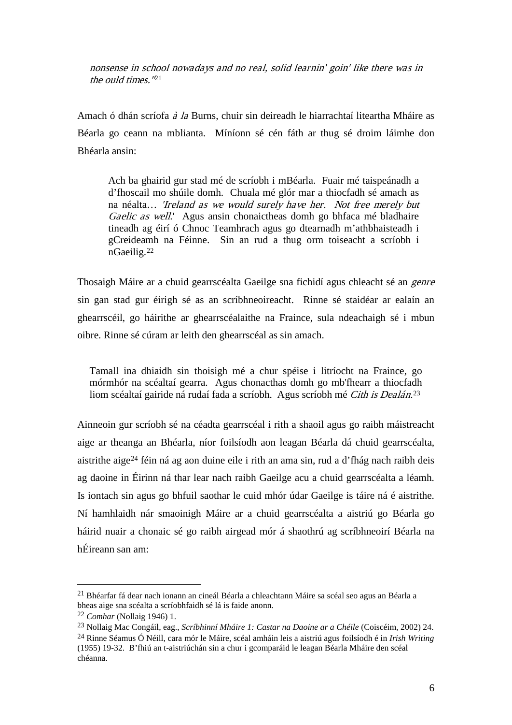nonsense in school nowadays and no real, solid learnin' goin' like there was in the ould times."[21](#page-6-0)

Amach ó dhán scríofa à la Burns, chuir sin deireadh le hiarrachtaí liteartha Mháire as Béarla go ceann na mblianta. Míníonn sé cén fáth ar thug sé droim láimhe don Bhéarla ansin:

Ach ba ghairid gur stad mé de scríobh i mBéarla. Fuair mé taispeánadh a d'fhoscail mo shúile domh. Chuala mé glór mar a thiocfadh sé amach as na néalta… 'Ireland as we would surely have her. Not free merely but Gaelic as well.' Agus ansin chonaictheas domh go bhfaca mé bladhaire tineadh ag éirí ó Chnoc Teamhrach agus go dtearnadh m'athbhaisteadh i gCreideamh na Féinne. Sin an rud a thug orm toiseacht a scríobh i nGaeilig. [22](#page-6-1)

Thosaigh Máire ar a chuid gearrscéalta Gaeilge sna fichidí agus chleacht sé an genre sin gan stad gur éirigh sé as an scríbhneoireacht. Rinne sé staidéar ar ealaín an ghearrscéil, go háirithe ar ghearrscéalaithe na Fraince, sula ndeachaigh sé i mbun oibre. Rinne sé cúram ar leith den ghearrscéal as sin amach.

Tamall ina dhiaidh sin thoisigh mé a chur spéise i litríocht na Fraince, go mórmhór na scéaltaí gearra. Agus chonacthas domh go mb'fhearr a thiocfadh liom scéaltaí gairide ná rudaí fada a scríobh. Agus scríobh mé Cith is Dealán.<sup>[23](#page-6-2)</sup>

Ainneoin gur scríobh sé na céadta gearrscéal i rith a shaoil agus go raibh máistreacht aige ar theanga an Bhéarla, níor foilsíodh aon leagan Béarla dá chuid gearrscéalta, aistrithe aige[24](#page-6-3) féin ná ag aon duine eile i rith an ama sin, rud a d'fhág nach raibh deis ag daoine in Éirinn ná thar lear nach raibh Gaeilge acu a chuid gearrscéalta a léamh. Is iontach sin agus go bhfuil saothar le cuid mhór údar Gaeilge is táire ná é aistrithe. Ní hamhlaidh nár smaoinigh Máire ar a chuid gearrscéalta a aistriú go Béarla go háirid nuair a chonaic sé go raibh airgead mór á shaothrú ag scríbhneoirí Béarla na hÉireann san am:

<span id="page-6-0"></span> <sup>21</sup> Bhéarfar fá dear nach ionann an cineál Béarla a chleachtann Máire sa scéal seo agus an Béarla a bheas aige sna scéalta a scríobhfaidh sé lá is faide anonn.

<span id="page-6-1"></span><sup>22</sup> *Comhar* (Nollaig 1946) 1.

<span id="page-6-3"></span><span id="page-6-2"></span><sup>23</sup> Nollaig Mac Congáil, eag., *Scríbhinní Mháire 1: Castar na Daoine ar a Chéile* (Coiscéim, 2002) 24. <sup>24</sup> Rinne Séamus Ó Néill, cara mór le Máire, scéal amháin leis a aistriú agus foilsíodh é in *Irish Writing* (1955) 19-32. B'fhiú an t-aistriúchán sin a chur i gcomparáid le leagan Béarla Mháire den scéal chéanna.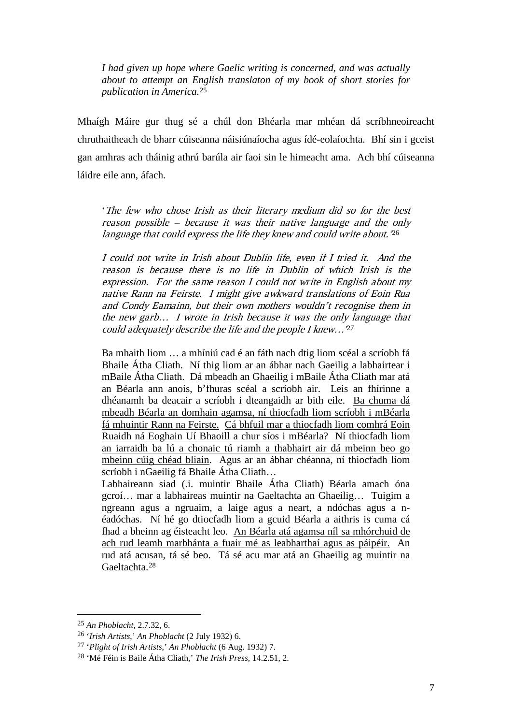*I had given up hope where Gaelic writing is concerned, and was actually about to attempt an English translaton of my book of short stories for publication in America.*[25](#page-7-0)

Mhaígh Máire gur thug sé a chúl don Bhéarla mar mhéan dá scríbhneoireacht chruthaitheach de bharr cúiseanna náisiúnaíocha agus ídé-eolaíochta. Bhí sin i gceist gan amhras ach tháinig athrú barúla air faoi sin le himeacht ama. Ach bhí cúiseanna láidre eile ann, áfach.

'The few who chose Irish as their literary medium did so for the best reason possible – because it was their native language and the only language that could express the life they knew and could write about.<sup>[26](#page-7-1)</sup>

I could not write in Irish about Dublin life, even if I tried it. And the reason is because there is no life in Dublin of which Irish is the expression. For the same reason I could not write in English about my native Rann na Feirste. I might give awkward translations of Eoin Rua and Condy Eamainn, but their own mothers wouldn't recognise them in the new garb… I wrote in Irish because it was the only language that could adequately describe the life and the people I knew...<sup>[27](#page-7-2)</sup>

Ba mhaith liom … a mhíniú cad é an fáth nach dtig liom scéal a scríobh fá Bhaile Átha Cliath. Ní thig liom ar an ábhar nach Gaeilig a labhairtear i mBaile Átha Cliath. Dá mbeadh an Ghaeilig i mBaile Átha Cliath mar atá an Béarla ann anois, b'fhuras scéal a scríobh air. Leis an fhírinne a dhéanamh ba deacair a scríobh i dteangaidh ar bith eile. Ba chuma dá mbeadh Béarla an domhain agamsa, ní thiocfadh liom scríobh i mBéarla fá mhuintir Rann na Feirste. Cá bhfuil mar a thiocfadh liom comhrá Eoin Ruaidh ná Eoghain Uí Bhaoill a chur síos i mBéarla? Ní thiocfadh liom an iarraidh ba lú a chonaic tú riamh a thabhairt air dá mbeinn beo go mbeinn cúig chéad bliain . Agus ar an ábhar chéanna, ní thiocfadh liom scríobh i nGaeilig fá Bhaile Átha Cliath…

Labhaireann siad (.i. muintir Bhaile Átha Cliath) Béarla amach óna gcroí… mar a labhaireas muintir na Gaeltachta an Ghaeilig… Tuigim a ngreann agus a ngruaim, a laige agus a neart, a ndóchas agus a néadóchas. Ní hé go dtiocfadh liom a gcuid Béarla a aithris is cuma cá fhad a bheinn ag éisteacht leo. An Béarla atá agamsa níl sa mhórchuid de ach rud leamh marbhánta a fuair mé as leabharthaí agus as páipéir. An rud atá acusan, tá sé beo. Tá sé acu mar atá an Ghaeilig ag muintir na Gaeltachta.[28](#page-7-3)

<span id="page-7-0"></span> <sup>25</sup> *An Phoblacht,* 2.7.32, 6.

<span id="page-7-1"></span><sup>26</sup> '*Irish Artists*,' *An Phoblacht* (2 July 1932) 6.

<span id="page-7-2"></span><sup>27</sup> '*Plight of Irish Artists*,' *An Phoblacht* (6 Aug. 1932) 7.

<span id="page-7-3"></span><sup>28</sup> 'Mé Féin is Baile Átha Cliath,' *The Irish Press*, 14.2.51, 2.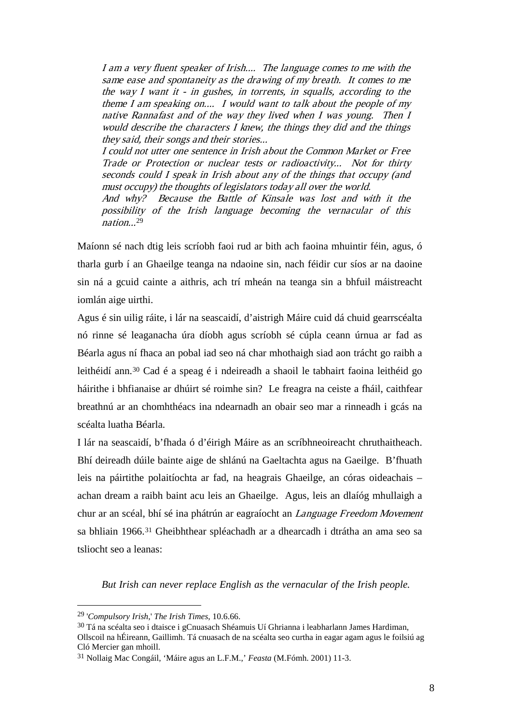I am a very fluent speaker of Irish.... The language comes to me with the same ease and spontaneity as the drawing of my breath. It comes to me the way I want it  $\overline{\cdot}$  in gushes, in torrents, in squalls, according to the theme I am speaking on.... I would want to talk about the people of my native Rannafast and of the way they lived when I was young. Then I would describe the characters I knew, the things they did and the things they said, their songs and their stories...

I could not utter one sentence in Irish about the Common Market or Free Trade or Protection or nuclear tests or radioactivity... Not for thirty seconds could I speak in Irish about any of the things that occupy (and must occupy) the thoughts of legislators today all over the world.

And why? Because the Battle of Kinsale was lost and with it the possibility of the Irish language becoming the vernacular of this nation...[29](#page-8-0)

Maíonn sé nach dtig leis scríobh faoi rud ar bith ach faoina mhuintir féin, agus, ó tharla gurb í an Ghaeilge teanga na ndaoine sin, nach féidir cur síos ar na daoine sin ná a gcuid cainte a aithris, ach trí mheán na teanga sin a bhfuil máistreacht iomlán aige uirthi.

Agus é sin uilig ráite, i lár na seascaidí, d'aistrigh Máire cuid dá chuid gearrscéalta nó rinne sé leaganacha úra díobh agus scríobh sé cúpla ceann úrnua ar fad as Béarla agus ní fhaca an pobal iad seo ná char mhothaigh siad aon trácht go raibh a leithéidí ann.<sup>[30](#page-8-1)</sup> Cad é a speag é i ndeireadh a shaoil le tabhairt faoina leithéid go háirithe i bhfianaise ar dhúirt sé roimhe sin? Le freagra na ceiste a fháil, caithfear breathnú ar an chomhthéacs ina ndearnadh an obair seo mar a rinneadh i gcás na scéalta luatha Béarla.

I lár na seascaidí, b'fhada ó d'éirigh Máire as an scríbhneoireacht chruthaitheach. Bhí deireadh dúile bainte aige de shlánú na Gaeltachta agus na Gaeilge. B'fhuath leis na páirtithe polaitíochta ar fad, na heagrais Ghaeilge, an córas oideachais – achan dream a raibh baint acu leis an Ghaeilge. Agus, leis an dlaíóg mhullaigh a chur ar an scéal, bhí sé ina phátrún ar eagraíocht an Language Freedom Movement sa bhliain 1966. [31](#page-8-2) Gheibhthear spléachadh ar a dhearcadh i dtrátha an ama seo sa tsliocht seo a leanas:

*But Irish can never replace English as the vernacular of the Irish people.* 

<span id="page-8-0"></span> <sup>29</sup> '*Compulsory Irish*,' *The Irish Times*, 10.6.66.

<span id="page-8-1"></span><sup>30</sup> Tá na scéalta seo i dtaisce i gCnuasach Shéamuis Uí Ghrianna i leabharlann James Hardiman, Ollscoil na hÉireann, Gaillimh. Tá cnuasach de na scéalta seo curtha in eagar agam agus le foilsiú ag Cló Mercier gan mhoill.

<span id="page-8-2"></span><sup>31</sup> Nollaig Mac Congáil, 'Máire agus an L.F.M.,' *Feasta* (M.Fómh. 2001) 11-3.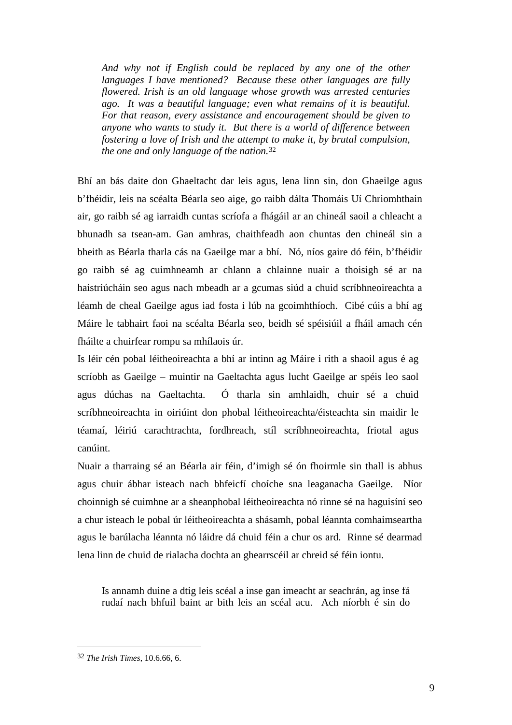*And why not if English could be replaced by any one of the other languages I have mentioned? Because these other languages are fully flowered. Irish is an old language whose growth was arrested centuries ago. It was a beautiful language; even what remains of it is beautiful. For that reason, every assistance and encouragement should be given to anyone who wants to study it. But there is a world of difference between fostering a love of Irish and the attempt to make it, by brutal compulsion, the one and only language of the nation.*[32](#page-9-0)

Bhí an bás daite don Ghaeltacht dar leis agus, lena linn sin, don Ghaeilge agus b'fhéidir, leis na scéalta Béarla seo aige, go raibh dálta Thomáis Uí Chriomhthain air, go raibh sé ag iarraidh cuntas scríofa a fhágáil ar an chineál saoil a chleacht a bhunadh sa tsean-am. Gan amhras, chaithfeadh aon chuntas den chineál sin a bheith as Béarla tharla cás na Gaeilge mar a bhí. Nó, níos gaire dó féin, b'fhéidir go raibh sé ag cuimhneamh ar chlann a chlainne nuair a thoisigh sé ar na haistriúcháin seo agus nach mbeadh ar a gcumas siúd a chuid scríbhneoireachta a léamh de cheal Gaeilge agus iad fosta i lúb na gcoimhthíoch. Cibé cúis a bhí ag Máire le tabhairt faoi na scéalta Béarla seo, beidh sé spéisiúil a fháil amach cén fháilte a chuirfear rompu sa mhílaois úr.

Is léir cén pobal léitheoireachta a bhí ar intinn ag Máire i rith a shaoil agus é ag scríobh as Gaeilge – muintir na Gaeltachta agus lucht Gaeilge ar spéis leo saol agus dúchas na Gaeltachta. Ó tharla sin amhlaidh, chuir sé a chuid scríbhneoireachta in oiriúint don phobal léitheoireachta/éisteachta sin maidir le téamaí, léiriú carachtrachta, fordhreach, stíl scríbhneoireachta, friotal agus canúint.

Nuair a tharraing sé an Béarla air féin, d'imigh sé ón fhoirmle sin thall is abhus agus chuir ábhar isteach nach bhfeicfí choíche sna leaganacha Gaeilge. Níor choinnigh sé cuimhne ar a sheanphobal léitheoireachta nó rinne sé na haguisíní seo a chur isteach le pobal úr léitheoireachta a shásamh, pobal léannta comhaimseartha agus le barúlacha léannta nó láidre dá chuid féin a chur os ard. Rinne sé dearmad lena linn de chuid de rialacha dochta an ghearrscéil ar chreid sé féin iontu.

Is annamh duine a dtig leis scéal a inse gan imeacht ar seachrán, ag inse fá rudaí nach bhfuil baint ar bith leis an scéal acu. Ach níorbh é sin do

<span id="page-9-0"></span> <sup>32</sup> *The Irish Times*, 10.6.66, 6.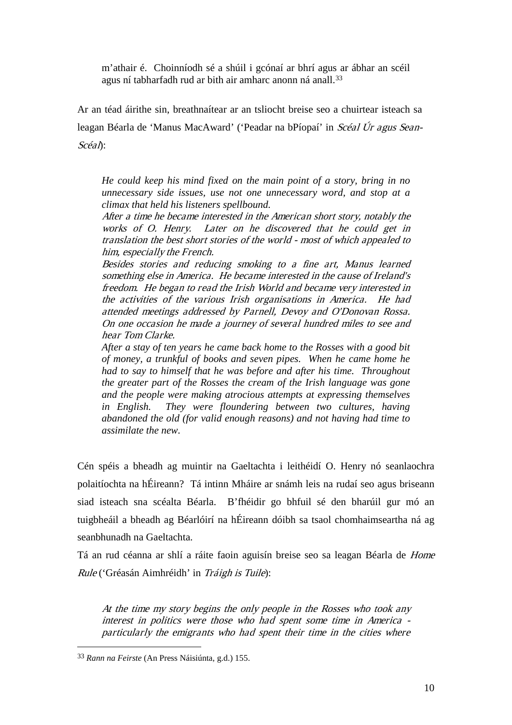m'athair é. Choinníodh sé a shúil i gcónaí ar bhrí agus ar ábhar an scéil agus ní tabharfadh rud ar bith air amharc anonn ná anall.[33](#page-10-0)

Ar an téad áirithe sin, breathnaítear ar an tsliocht breise seo a chuirtear isteach sa leagan Béarla de 'Manus MacAward' ('Peadar na bPíopaí' in Scéal Úr agus Sean-Scéal):

*He could keep his mind fixed on the main point of a story, bring in no unnecessary side issues, use not one unnecessary word, and stop at a climax that held his listeners spellbound.*

After a time he became interested in the American short story, notably the works of O. Henry. Later on he discovered that he could get in translation the best short stories of the world - most of which appealed to him, especially the French.

Besides stories and reducing smoking to a fine art, Manus learned something else in America. He became interested in the cause of Ireland's freedom. He began to read the Irish World and became very interested in the activities of the various Irish organisations in America. He had attended meetings addressed by Parnell, Devoy and O'Donovan Rossa. On one occasion he made a journey of several hundred miles to see and hear Tom Clarke.

*After a stay of ten years he came back home to the Rosses with a good bit of money, a trunkful of books and seven pipes. When he came home he had to say to himself that he was before and after his time. Throughout the greater part of the Rosses the cream of the Irish language was gone and the people were making atrocious attempts at expressing themselves in English. They were floundering between two cultures, having abandoned the old (for valid enough reasons) and not having had time to assimilate the new.*

Cén spéis a bheadh ag muintir na Gaeltachta i leithéidí O. Henry nó seanlaochra polaitíochta na hÉireann? Tá intinn Mháire ar snámh leis na rudaí seo agus briseann siad isteach sna scéalta Béarla. B'fhéidir go bhfuil sé den bharúil gur mó an tuigbheáil a bheadh ag Béarlóirí na hÉireann dóibh sa tsaol chomhaimseartha ná ag seanbhunadh na Gaeltachta.

Tá an rud céanna ar shlí a ráite faoin aguisín breise seo sa leagan Béarla de Home Rule ('Gréasán Aimhréidh' in Tráigh is Tuile):

At the time my story begins the only people in the Rosses who took any interest in politics were those who had spent some time in America particularly the emigrants who had spent their time in the cities where

<span id="page-10-0"></span> <sup>33</sup> *Rann na Feirste* (An Press Náisiúnta, g.d.) 155.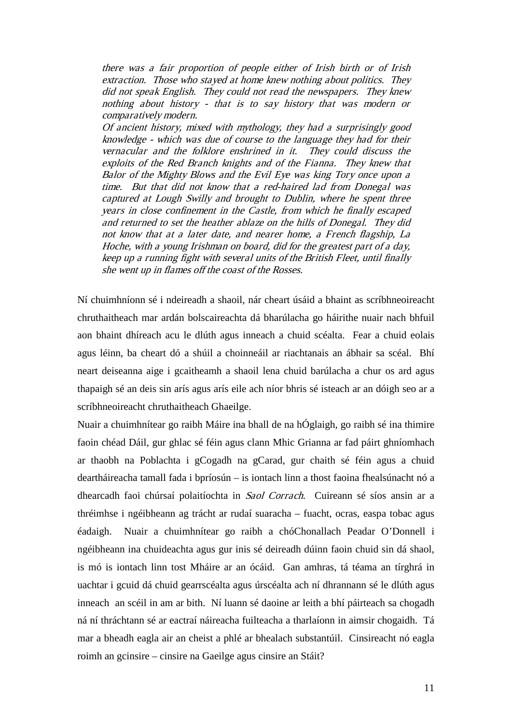there was a fair proportion of people either of Irish birth or of Irish extraction. Those who stayed at home knew nothing about politics. They did not speak English. They could not read the newspapers. They knew nothing about history - that is to say history that was modern or comparatively modern.

Of ancient history, mixed with mythology, they had a surprisingly good knowledge - which was due of course to the language they had for their vernacular and the folklore enshrined in it. They could discuss the exploits of the Red Branch knights and of the Fianna. They knew that Balor of the Mighty Blows and the Evil Eye was king Tory once upon a time. But that did not know that a red-haired lad from Donegal was captured at Lough Swilly and brought to Dublin, where he spent three years in close confinement in the Castle, from which he finally escaped and returned to set the heather ablaze on the hills of Donegal. They did not know that at a later date, and nearer home, a French flagship, La Hoche, with a young Irishman on board, did for the greatest part of a day, keep up a running fight with several units of the British Fleet, until finally she went up in flames off the coast of the Rosses.

Ní chuimhníonn sé i ndeireadh a shaoil, nár cheart úsáid a bhaint as scríbhneoireacht chruthaitheach mar ardán bolscaireachta dá bharúlacha go háirithe nuair nach bhfuil aon bhaint dhíreach acu le dlúth agus inneach a chuid scéalta. Fear a chuid eolais agus léinn, ba cheart dó a shúil a choinneáil ar riachtanais an ábhair sa scéal. Bhí neart deiseanna aige i gcaitheamh a shaoil lena chuid barúlacha a chur os ard agus thapaigh sé an deis sin arís agus arís eile ach níor bhris sé isteach ar an dóigh seo ar a scríbhneoireacht chruthaitheach Ghaeilge.

Nuair a chuimhnítear go raibh Máire ina bhall de na hÓglaigh, go raibh sé ina thimire faoin chéad Dáil, gur ghlac sé féin agus clann Mhic Grianna ar fad páirt ghníomhach ar thaobh na Poblachta i gCogadh na gCarad, gur chaith sé féin agus a chuid deartháireacha tamall fada i bpríosún – is iontach linn a thost faoina fhealsúnacht nó a dhearcadh faoi chúrsaí polaitíochta in Saol Corrach. Cuireann sé síos ansin ar a thréimhse i ngéibheann ag trácht ar rudaí suaracha – fuacht, ocras, easpa tobac agus éadaigh. Nuair a chuimhnítear go raibh a chóChonallach Peadar O'Donnell i ngéibheann ina chuideachta agus gur inis sé deireadh dúinn faoin chuid sin dá shaol, is mó is iontach linn tost Mháire ar an ócáid. Gan amhras, tá téama an tírghrá in uachtar i gcuid dá chuid gearrscéalta agus úrscéalta ach ní dhrannann sé le dlúth agus inneach an scéil in am ar bith. Ní luann sé daoine ar leith a bhí páirteach sa chogadh ná ní thráchtann sé ar eactraí náireacha fuilteacha a tharlaíonn in aimsir chogaidh. Tá mar a bheadh eagla air an cheist a phlé ar bhealach substantúil. Cinsireacht nó eagla roimh an gcinsire – cinsire na Gaeilge agus cinsire an Stáit?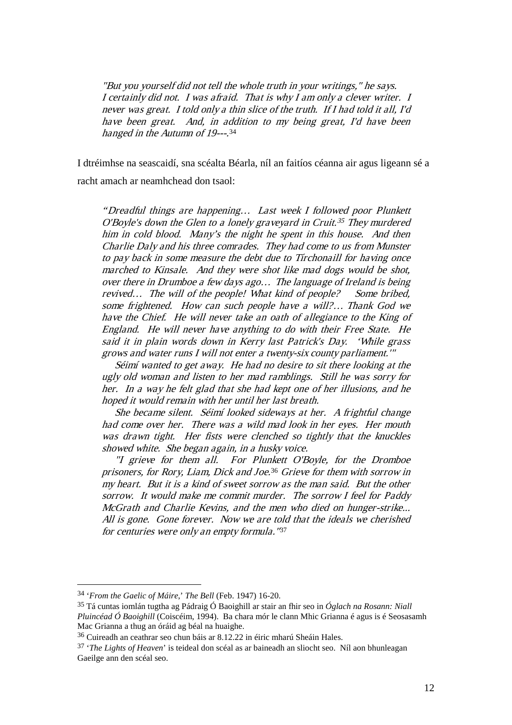"But you yourself did not tell the whole truth in your writings," he says. I certainly did not. I was afraid. That is why I am only a clever writer. I never was great. I told only a thin slice of the truth. If I had told it all, I'd have been great. And, in addition to my being great, I'd have been hanged in the Autumn of 19---. [34](#page-12-0)

I dtréimhse na seascaidí, sna scéalta Béarla, níl an faitíos céanna air agus ligeann sé a racht amach ar neamhchead don tsaol:

"Dreadful things are happening… Last week I followed poor Plunkett O'Boyle's down the Glen to a lonely graveyard in Cruit. [35](#page-12-1) They murdered him in cold blood. Many's the night he spent in this house. And then Charlie Daly and his three comrades. They had come to us from Munster to pay back in some measure the debt due to Tírchonaill for having once marched to Kinsale. And they were shot like mad dogs would be shot, over there in Drumboe a few days ago… The language of Ireland is being revived... The will of the people! What kind of people? Some bribed, some frightened. How can such people have a will?… Thank God we have the Chief. He will never take an oath of allegiance to the King of England. He will never have anything to do with their Free State. He said it in plain words down in Kerry last Patrick's Day. 'While grass grows and water runs I will not enter a twenty-six county parliament.'"

 Séimí wanted to get away. He had no desire to sit there looking at the ugly old woman and listen to her mad ramblings. Still he was sorry for her. In a way he felt glad that she had kept one of her illusions, and he hoped it would remain with her until her last breath.

 She became silent. Séimí looked sideways at her. A frightful change had come over her. There was a wild mad look in her eyes. Her mouth was drawn tight. Her fists were clenched so tightly that the knuckles showed white. She began again, in a husky voice.

 "I grieve for them all. For Plunkett O'Boyle, for the Dromboe prisoners, for Rory, Liam, Dick and Joe. [36](#page-12-2) Grieve for them with sorrow in my heart. But it is a kind of sweet sorrow as the man said. But the other sorrow. It would make me commit murder. The sorrow I feel for Paddy McGrath and Charlie Kevins, and the men who died on hunger-strike... All is gone. Gone forever. Now we are told that the ideals we cherished for centuries were only an empty formula."[37](#page-12-3)

<span id="page-12-0"></span> <sup>34</sup> '*From the Gaelic of Máire*,' *The Bell* (Feb. 1947) 16-20.

<span id="page-12-1"></span><sup>35</sup> Tá cuntas iomlán tugtha ag Pádraig Ó Baoighill ar stair an fhir seo in *Óglach na Rosann: Niall Pluincéad Ó Baoighill* (Coiscéim, 1994). Ba chara mór le clann Mhic Grianna é agus is é Seosasamh Mac Grianna a thug an óráid ag béal na huaighe.

<span id="page-12-2"></span><sup>36</sup> Cuireadh an ceathrar seo chun báis ar 8.12.22 in éiric mharú Sheáin Hales.

<span id="page-12-3"></span><sup>37</sup> '*The Lights of Heaven*' is teideal don scéal as ar baineadh an sliocht seo. Níl aon bhunleagan Gaeilge ann den scéal seo.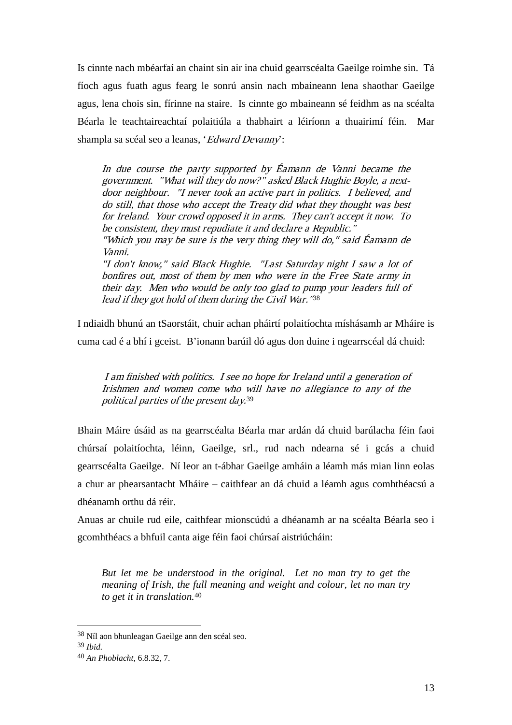Is cinnte nach mbéarfaí an chaint sin air ina chuid gearrscéalta Gaeilge roimhe sin. Tá fíoch agus fuath agus fearg le sonrú ansin nach mbaineann lena shaothar Gaeilge agus, lena chois sin, fírinne na staire. Is cinnte go mbaineann sé feidhm as na scéalta Béarla le teachtaireachtaí polaitiúla a thabhairt a léiríonn a thuairimí féin. Mar shampla sa scéal seo a leanas, 'Edward Devanny':

In due course the party supported by Éamann de Vanni became the government. "What will they do now?" asked Black Hughie Boyle, a nextdoor neighbour. "I never took an active part in politics. I believed, and do still, that those who accept the Treaty did what they thought was best for Ireland. Your crowd opposed it in arms. They can't accept it now. To be consistent, they must repudiate it and declare a Republic."

"Which you may be sure is the very thing they will do," said Éamann de Vanni.

"I don't know," said Black Hughie. "Last Saturday night I saw a lot of bonfires out, most of them by men who were in the Free State army in their day. Men who would be only too glad to pump your leaders full of lead if they got hold of them during the Civil War."[38](#page-13-0)

I ndiaidh bhunú an tSaorstáit, chuir achan pháirtí polaitíochta míshásamh ar Mháire is cuma cad é a bhí i gceist. B'ionann barúil dó agus don duine i ngearrscéal dá chuid:

I am finished with politics. I see no hope for Ireland until a generation of Irishmen and women come who will have no allegiance to any of the political parties of the present day. [39](#page-13-1)

Bhain Máire úsáid as na gearrscéalta Béarla mar ardán dá chuid barúlacha féin faoi chúrsaí polaitíochta, léinn, Gaeilge, srl., rud nach ndearna sé i gcás a chuid gearrscéalta Gaeilge. Ní leor an t-ábhar Gaeilge amháin a léamh más mian linn eolas a chur ar phearsantacht Mháire – caithfear an dá chuid a léamh agus comhthéacsú a dhéanamh orthu dá réir.

Anuas ar chuile rud eile, caithfear mionscúdú a dhéanamh ar na scéalta Béarla seo i gcomhthéacs a bhfuil canta aige féin faoi chúrsaí aistriúcháin:

*But let me be understood in the original. Let no man try to get the meaning of Irish, the full meaning and weight and colour, let no man try to get it in translation.* [40](#page-13-2)

<span id="page-13-0"></span> <sup>38</sup> Níl aon bhunleagan Gaeilge ann den scéal seo.

<span id="page-13-1"></span><sup>39</sup> *Ibid.*

<span id="page-13-2"></span><sup>40</sup> *An Phoblacht*, 6.8.32, 7.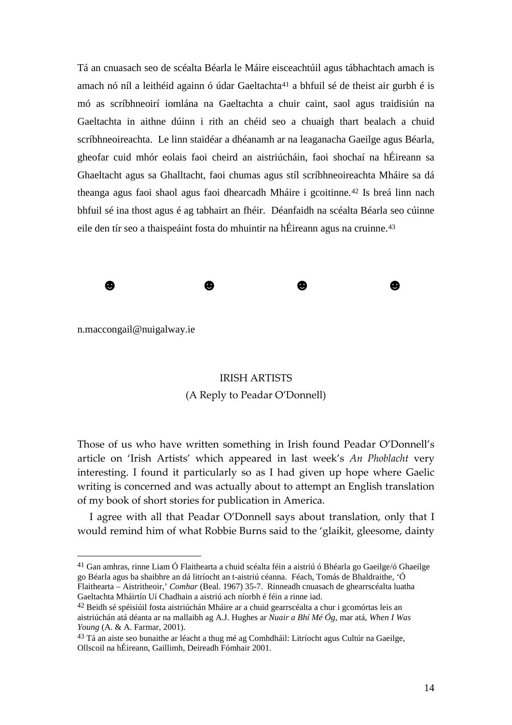Tá an cnuasach seo de scéalta Béarla le Máire eisceachtúil agus tábhachtach amach is amach nó níl a leithéid againn ó údar Gaeltachta<sup>[41](#page-14-0)</sup> a bhfuil sé de theist air gurbh é is mó as scríbhneoirí iomlána na Gaeltachta a chuir caint, saol agus traidisiún na Gaeltachta in aithne dúinn i rith an chéid seo a chuaigh thart bealach a chuid scríbhneoireachta. Le linn staidéar a dhéanamh ar na leaganacha Gaeilge agus Béarla, gheofar cuid mhór eolais faoi cheird an aistriúcháin, faoi shochaí na hÉireann sa Ghaeltacht agus sa Ghalltacht, faoi chumas agus stíl scríbhneoireachta Mháire sa dá theanga agus faoi shaol agus faoi dhearcadh Mháire i gcoitinne*.*[42](#page-14-1) Is breá linn nach bhfuil sé ina thost agus é ag tabhairt an fhéir. Déanfaidh na scéalta Béarla seo cúinne eile den tír seo a thaispeáint fosta do mhuintir na hÉireann agus na cruinne.<sup>[43](#page-14-2)</sup>



n.maccongail@nuigalway.ie

## IRISH ARTISTS (A Reply to Peadar O'Donnell)

Those of us who have written something in Irish found Peadar O'Donnell's article on 'Irish Artists' which appeared in last week's *An Phoblacht* very interesting. I found it particularly so as I had given up hope where Gaelic writing is concerned and was actually about to attempt an English translation of my book of short stories for publication in America.

I agree with all that Peadar O'Donnell says about translation, only that I would remind him of what Robbie Burns said to the 'glaikit, gleesome, dainty

<span id="page-14-0"></span> <sup>41</sup> Gan amhras, rinne Liam Ó Flaithearta a chuid scéalta féin a aistriú ó Bhéarla go Gaeilge/ó Ghaeilge go Béarla agus ba shaibhre an dá litríocht an t-aistriú céanna. Féach, Tomás de Bhaldraithe, 'Ó Flaithearta – Aistritheoir,' *Comhar* (Beal. 1967) 35-7. Rinneadh cnuasach de ghearrscéalta luatha Gaeltachta Mháirtín Uí Chadhain a aistriú ach níorbh é féin a rinne iad.

<span id="page-14-1"></span><sup>42</sup> Beidh sé spéisiúil fosta aistriúchán Mháire ar a chuid gearrscéalta a chur i gcomórtas leis an aistriúchán atá déanta ar na mallaibh ag A.J. Hughes ar *Nuair a Bhí Mé Óg*, mar atá, *When I Was Young* (A. & A. Farmar, 2001).

<span id="page-14-2"></span><sup>43</sup> Tá an aiste seo bunaithe ar léacht a thug mé ag Comhdháil: Litríocht agus Cultúr na Gaeilge, Ollscoil na hÉireann, Gaillimh, Deireadh Fómhair 2001.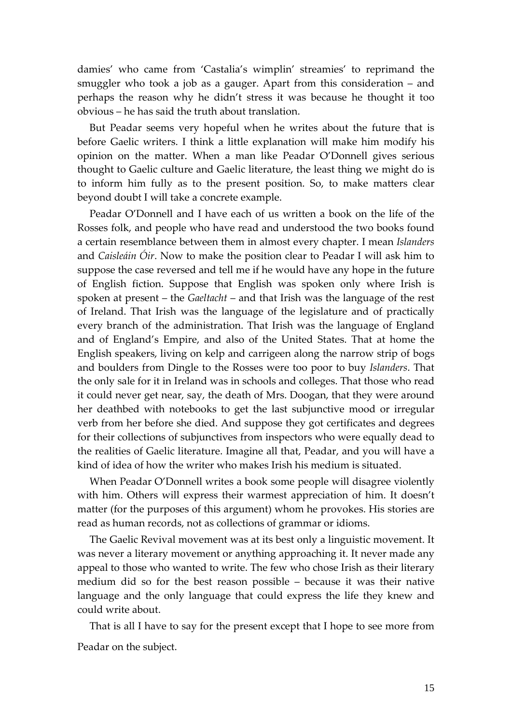damies' who came from 'Castalia's wimplin' streamies' to reprimand the smuggler who took a job as a gauger. Apart from this consideration – and perhaps the reason why he didn't stress it was because he thought it too obvious – he has said the truth about translation.

But Peadar seems very hopeful when he writes about the future that is before Gaelic writers. I think a little explanation will make him modify his opinion on the matter. When a man like Peadar O'Donnell gives serious thought to Gaelic culture and Gaelic literature, the least thing we might do is to inform him fully as to the present position. So, to make matters clear beyond doubt I will take a concrete example.

Peadar O'Donnell and I have each of us written a book on the life of the Rosses folk, and people who have read and understood the two books found a certain resemblance between them in almost every chapter. I mean *Islanders*  and *Caisleáin Óir*. Now to make the position clear to Peadar I will ask him to suppose the case reversed and tell me if he would have any hope in the future of English fiction. Suppose that English was spoken only where Irish is spoken at present – the *Gaeltacht* – and that Irish was the language of the rest of Ireland. That Irish was the language of the legislature and of practically every branch of the administration. That Irish was the language of England and of England's Empire, and also of the United States. That at home the English speakers, living on kelp and carrigeen along the narrow strip of bogs and boulders from Dingle to the Rosses were too poor to buy *Islanders*. That the only sale for it in Ireland was in schools and colleges. That those who read it could never get near, say, the death of Mrs. Doogan, that they were around her deathbed with notebooks to get the last subjunctive mood or irregular verb from her before she died. And suppose they got certificates and degrees for their collections of subjunctives from inspectors who were equally dead to the realities of Gaelic literature. Imagine all that, Peadar, and you will have a kind of idea of how the writer who makes Irish his medium is situated.

When Peadar O'Donnell writes a book some people will disagree violently with him. Others will express their warmest appreciation of him. It doesn't matter (for the purposes of this argument) whom he provokes. His stories are read as human records, not as collections of grammar or idioms.

The Gaelic Revival movement was at its best only a linguistic movement. It was never a literary movement or anything approaching it. It never made any appeal to those who wanted to write. The few who chose Irish as their literary medium did so for the best reason possible – because it was their native language and the only language that could express the life they knew and could write about.

That is all I have to say for the present except that I hope to see more from Peadar on the subject.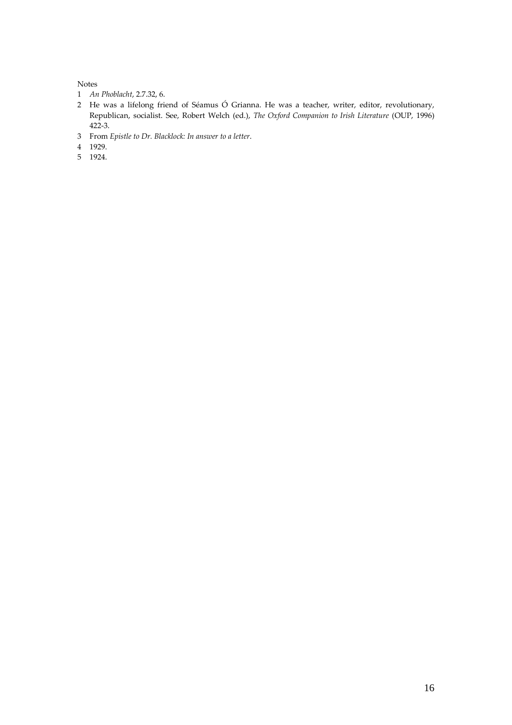#### Notes

- *An Phoblacht*, 2.7.32, 6.
- He was a lifelong friend of Séamus Ó Grianna. He was a teacher, writer, editor, revolutionary, Republican, socialist. See, Robert Welch (ed.), *The Oxford Companion to Irish Literature* (OUP, 1996) 422-3.
- From *Epistle to Dr. Blacklock: In answer to a letter*.
- 1929.
- 1924.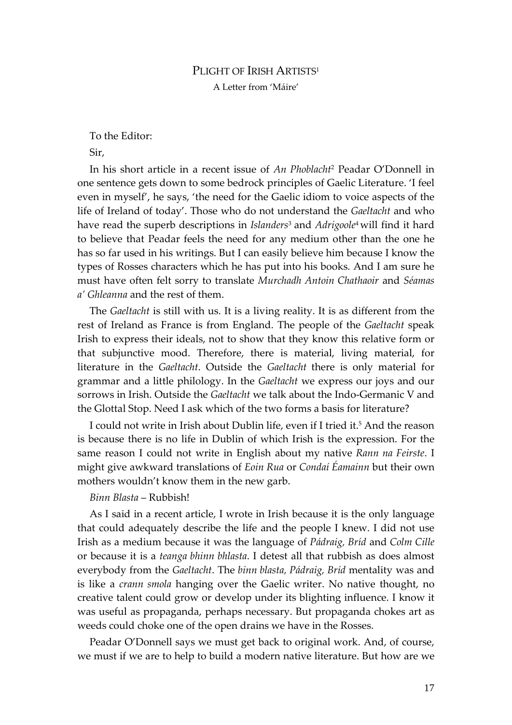### PLIGHT OF IRISH ARTISTS<sup>1</sup> A Letter from 'Máire'

To the Editor:

Sir,

In his short article in a recent issue of *An Phoblacht*<sup>2</sup> Peadar O'Donnell in one sentence gets down to some bedrock principles of Gaelic Literature. 'I feel even in myself', he says, 'the need for the Gaelic idiom to voice aspects of the life of Ireland of today'. Those who do not understand the *Gaeltacht* and who have read the superb descriptions in *Islanders*<sup>3</sup> and *Adrigoole*4 will find it hard to believe that Peadar feels the need for any medium other than the one he has so far used in his writings. But I can easily believe him because I know the types of Rosses characters which he has put into his books. And I am sure he must have often felt sorry to translate *Murchadh Antoin Chathaoir* and *Séamas a' Ghleanna* and the rest of them.

The *Gaeltacht* is still with us. It is a living reality. It is as different from the rest of Ireland as France is from England. The people of the *Gaeltacht* speak Irish to express their ideals, not to show that they know this relative form or that subjunctive mood. Therefore, there is material, living material, for literature in the *Gaeltacht*. Outside the *Gaeltacht* there is only material for grammar and a little philology. In the *Gaeltacht* we express our joys and our sorrows in Irish. Outside the *Gaeltacht* we talk about the Indo-Germanic V and the Glottal Stop. Need I ask which of the two forms a basis for literature?

I could not write in Irish about Dublin life, even if I tried it.5 And the reason is because there is no life in Dublin of which Irish is the expression. For the same reason I could not write in English about my native *Rann na Feirste*. I might give awkward translations of *Eoin Rua* or *Condaí Éamainn* but their own mothers wouldn't know them in the new garb.

*Binn Blasta* – Rubbish!

As I said in a recent article, I wrote in Irish because it is the only language that could adequately describe the life and the people I knew. I did not use Irish as a medium because it was the language of *Pádraig, Bríd* and *Colm Cille* or because it is a *teanga bhinn bhlasta*. I detest all that rubbish as does almost everybody from the *Gaeltacht*. The *binn blasta, Pádraig, Bríd* mentality was and is like a *crann smola* hanging over the Gaelic writer. No native thought, no creative talent could grow or develop under its blighting influence. I know it was useful as propaganda, perhaps necessary. But propaganda chokes art as weeds could choke one of the open drains we have in the Rosses.

Peadar O'Donnell says we must get back to original work. And, of course, we must if we are to help to build a modern native literature. But how are we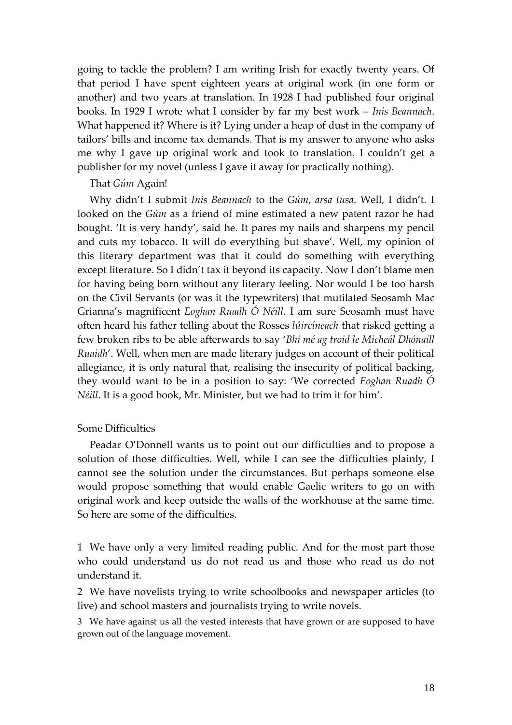going to tackle the problem? I am writing Irish for exactly twenty years. Of that period I have spent eighteen years at original work (in one form or another) and two years at translation. In 1928 I had published four original books. In 1929 I wrote what I consider by far my best work – *Inis Beannach*. What happened it? Where is it? Lying under a heap of dust in the company of tailors' bills and income tax demands. That is my answer to anyone who asks me why I gave up original work and took to translation. I couldn't get a publisher for my novel (unless I gave it away for practically nothing).

#### That *Gúm* Again!

Why didn't I submit *Inis Beannach* to the *Gúm*, *arsa tusa*. Well, I didn't. I looked on the *Gúm* as a friend of mine estimated a new patent razor he had bought. 'It is very handy', said he. It pares my nails and sharpens my pencil and cuts my tobacco. It will do everything but shave'. Well, my opinion of this literary department was that it could do something with everything except literature. So I didn't tax it beyond its capacity. Now I don't blame men for having being born without any literary feeling. Nor would I be too harsh on the Civil Servants (or was it the typewriters) that mutilated Seosamh Mac Grianna's magnificent *Eoghan Ruadh Ó Néill*. I am sure Seosamh must have often heard his father telling about the Rosses *lúircíneach* that risked getting a few broken ribs to be able afterwards to say '*Bhí mé ag troid le Micheál Dhónaill Ruaidh*'. Well, when men are made literary judges on account of their political allegiance, it is only natural that, realising the insecurity of political backing, they would want to be in a position to say: 'We corrected *Eoghan Ruadh Ó Néill*. It is a good book, Mr. Minister, but we had to trim it for him'.

#### Some Difficulties

Peadar O'Donnell wants us to point out our difficulties and to propose a solution of those difficulties. Well, while I can see the difficulties plainly, I cannot see the solution under the circumstances. But perhaps someone else would propose something that would enable Gaelic writers to go on with original work and keep outside the walls of the workhouse at the same time. So here are some of the difficulties.

1 We have only a very limited reading public. And for the most part those who could understand us do not read us and those who read us do not understand it.

2 We have novelists trying to write schoolbooks and newspaper articles (to live) and school masters and journalists trying to write novels.

3 We have against us all the vested interests that have grown or are supposed to have grown out of the language movement.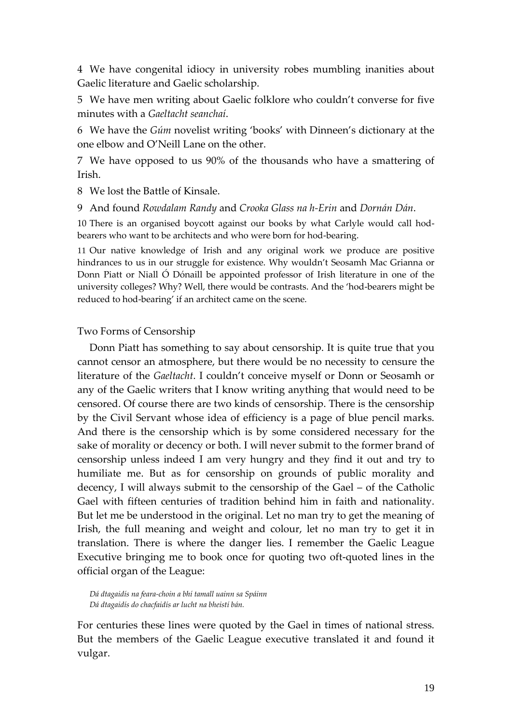4 We have congenital idiocy in university robes mumbling inanities about Gaelic literature and Gaelic scholarship.

5 We have men writing about Gaelic folklore who couldn't converse for five minutes with a *Gaeltacht seanchaí*.

6 We have the *Gúm* novelist writing 'books' with Dinneen's dictionary at the one elbow and O'Neill Lane on the other.

7 We have opposed to us 90% of the thousands who have a smattering of Irish.

8 We lost the Battle of Kinsale.

9 And found *Rowdalam Randy* and *Crooka Glass na h-Erin* and *Dornán Dán*.

10 There is an organised boycott against our books by what Carlyle would call hodbearers who want to be architects and who were born for hod-bearing.

11 Our native knowledge of Irish and any original work we produce are positive hindrances to us in our struggle for existence. Why wouldn't Seosamh Mac Grianna or Donn Piatt or Niall Ó Dónaill be appointed professor of Irish literature in one of the university colleges? Why? Well, there would be contrasts. And the 'hod-bearers might be reduced to hod-bearing' if an architect came on the scene.

#### Two Forms of Censorship

Donn Piatt has something to say about censorship. It is quite true that you cannot censor an atmosphere, but there would be no necessity to censure the literature of the *Gaeltacht*. I couldn't conceive myself or Donn or Seosamh or any of the Gaelic writers that I know writing anything that would need to be censored. Of course there are two kinds of censorship. There is the censorship by the Civil Servant whose idea of efficiency is a page of blue pencil marks. And there is the censorship which is by some considered necessary for the sake of morality or decency or both. I will never submit to the former brand of censorship unless indeed I am very hungry and they find it out and try to humiliate me. But as for censorship on grounds of public morality and decency, I will always submit to the censorship of the Gael – of the Catholic Gael with fifteen centuries of tradition behind him in faith and nationality. But let me be understood in the original. Let no man try to get the meaning of Irish, the full meaning and weight and colour, let no man try to get it in translation. There is where the danger lies. I remember the Gaelic League Executive bringing me to book once for quoting two oft-quoted lines in the official organ of the League:

*Dá dtagaidís na feara-choin a bhí tamall uainn sa Spáinn Dá dtagaidís do chacfaidís ar lucht na bheistí bán.*

For centuries these lines were quoted by the Gael in times of national stress. But the members of the Gaelic League executive translated it and found it vulgar.